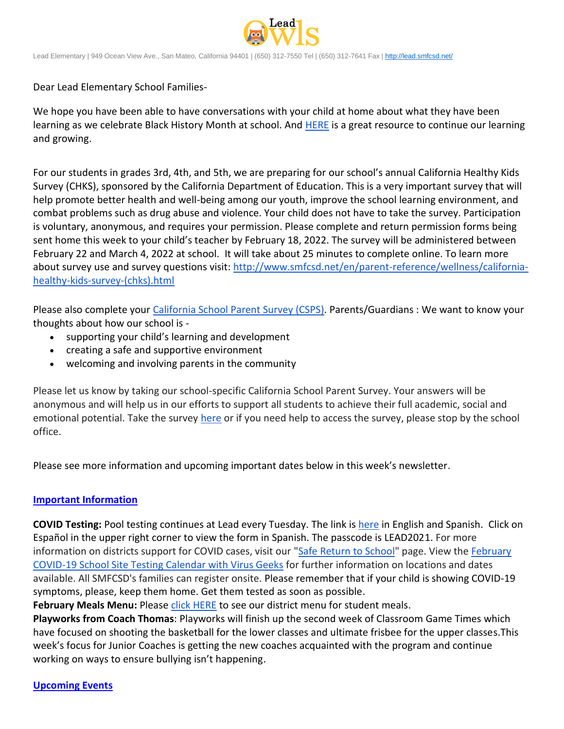

Lead Elementary | 949 Ocean View Ave., San Mateo, California 94401 | (650) 312-7550 Tel | (650) 312-7641 Fax [| http://lead.smfcsd.net/](http://lead.smfcsd.net/)

Dear Lead Elementary School Families-

We hope you have been able to have conversations with your child at home about what they have been learning as we celebrate Black History Month at school. And [HERE](https://centerracialjustice.org/resources/black-history-month-resource-guide-for-educators-and-families/) is a great resource to continue our learning and growing.

For our students in grades 3rd, 4th, and 5th, we are preparing for our school's annual California Healthy Kids Survey (CHKS), sponsored by the California Department of Education. This is a very important survey that will help promote better health and well-being among our youth, improve the school learning environment, and combat problems such as drug abuse and violence. Your child does not have to take the survey. Participation is voluntary, anonymous, and requires your permission. Please complete and return permission forms being sent home this week to your child's teacher by February 18, 2022. The survey will be administered between February 22 and March 4, 2022 at school. It will take about 25 minutes to complete online. To learn more about survey use and survey questions visit: [http://www.smfcsd.net/en/parent-reference/wellness/california](http://www.smfcsd.net/en/parent-reference/wellness/california-healthy-kids-survey-(chks).html)[healthy-kids-survey-\(chks\).html](http://www.smfcsd.net/en/parent-reference/wellness/california-healthy-kids-survey-(chks).html)

Please also complete your [California School Parent Survey \(CSPS\).](https://wested.ugam-apps.com/wed/ts/mqql) Parents/Guardians : We want to know your thoughts about how our school is -

- supporting your child's learning and development
- creating a safe and supportive environment
- welcoming and involving parents in the community

Please let us know by taking our school-specific California School Parent Survey. Your answers will be anonymous and will help us in our efforts to support all students to achieve their full academic, social and emotional potential. Take the survey [here](https://wested.ugam-apps.com/wed/ts/mqql) or if you need help to access the survey, please stop by the school office.

Please see more information and upcoming important dates below in this week's newsletter.

## **Important Information**

**COVID Testing:** Pool testing continues at Lead every Tuesday. The link is [here](https://testcenter.concentricbyginkgo.com/minor-consent/) in English and Spanish. Click on Español in the upper right corner to view the form in Spanish. The passcode is LEAD2021. For more information on districts support for COVID cases, visit our ["Safe Return to School"](http://www.smfcsd.net/en/covid-19-updates-resources/covid-19-updates.html) page. View the February [COVID-19 School Site Testing Calendar with Virus Geeks](http://www.smfcsd.net/en/assets/files/Communications/COVID-19/COVID-19%20School%20Testing%20-%20February%202022.pdf) for further information on locations and dates available. All SMFCSD's families can register onsite. Please remember that if your child is showing COVID-19 symptoms, please, keep them home. Get them tested as soon as possible.

**February Meals Menu:** Please [click HERE](http://www.smfcsd.net/en/assets/files/Nutrition%20and%20School%20Meals/February%202022%20Menu.pdf) to see our district menu for student meals.

**Playworks from Coach Thomas**: Playworks will finish up the second week of Classroom Game Times which have focused on shooting the basketball for the lower classes and ultimate frisbee for the upper classes.This week's focus for Junior Coaches is getting the new coaches acquainted with the program and continue working on ways to ensure bullying isn't happening.

**Upcoming Events**